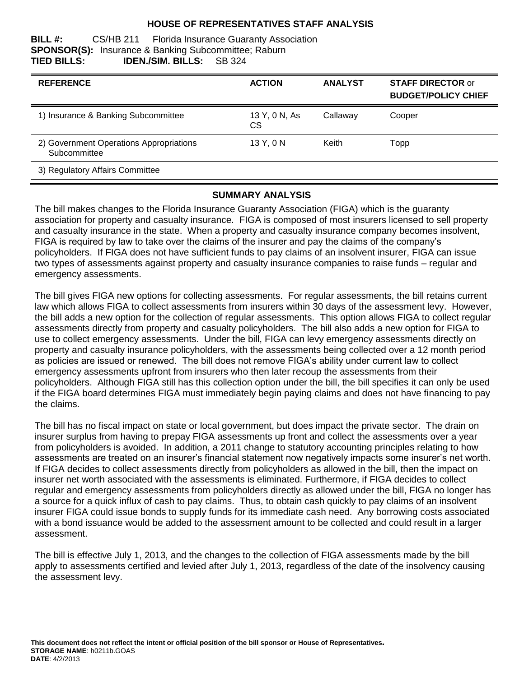### **HOUSE OF REPRESENTATIVES STAFF ANALYSIS**

#### **BILL #:** CS/HB 211 Florida Insurance Guaranty Association **SPONSOR(S):** Insurance & Banking Subcommittee; Raburn **TIED BILLS: IDEN./SIM. BILLS:** SB 324

| <b>REFERENCE</b>                                        | <b>ACTION</b>        | <b>ANALYST</b> | <b>STAFF DIRECTOR or</b><br><b>BUDGET/POLICY CHIEF</b> |
|---------------------------------------------------------|----------------------|----------------|--------------------------------------------------------|
| 1) Insurance & Banking Subcommittee                     | 13 Y, 0 N, As<br>CS. | Callaway       | Cooper                                                 |
| 2) Government Operations Appropriations<br>Subcommittee | 13 Y, 0 N            | Keith          | Topp                                                   |
| 3) Regulatory Affairs Committee                         |                      |                |                                                        |

#### **SUMMARY ANALYSIS**

The bill makes changes to the Florida Insurance Guaranty Association (FIGA) which is the guaranty association for property and casualty insurance. FIGA is composed of most insurers licensed to sell property and casualty insurance in the state. When a property and casualty insurance company becomes insolvent, FIGA is required by law to take over the claims of the insurer and pay the claims of the company's policyholders. If FIGA does not have sufficient funds to pay claims of an insolvent insurer, FIGA can issue two types of assessments against property and casualty insurance companies to raise funds – regular and emergency assessments.

The bill gives FIGA new options for collecting assessments. For regular assessments, the bill retains current law which allows FIGA to collect assessments from insurers within 30 days of the assessment levy. However, the bill adds a new option for the collection of regular assessments. This option allows FIGA to collect regular assessments directly from property and casualty policyholders. The bill also adds a new option for FIGA to use to collect emergency assessments. Under the bill, FIGA can levy emergency assessments directly on property and casualty insurance policyholders, with the assessments being collected over a 12 month period as policies are issued or renewed. The bill does not remove FIGA's ability under current law to collect emergency assessments upfront from insurers who then later recoup the assessments from their policyholders. Although FIGA still has this collection option under the bill, the bill specifies it can only be used if the FIGA board determines FIGA must immediately begin paying claims and does not have financing to pay the claims.

The bill has no fiscal impact on state or local government, but does impact the private sector. The drain on insurer surplus from having to prepay FIGA assessments up front and collect the assessments over a year from policyholders is avoided. In addition, a 2011 change to statutory accounting principles relating to how assessments are treated on an insurer's financial statement now negatively impacts some insurer's net worth. If FIGA decides to collect assessments directly from policyholders as allowed in the bill, then the impact on insurer net worth associated with the assessments is eliminated. Furthermore, if FIGA decides to collect regular and emergency assessments from policyholders directly as allowed under the bill, FIGA no longer has a source for a quick influx of cash to pay claims. Thus, to obtain cash quickly to pay claims of an insolvent insurer FIGA could issue bonds to supply funds for its immediate cash need. Any borrowing costs associated with a bond issuance would be added to the assessment amount to be collected and could result in a larger assessment.

The bill is effective July 1, 2013, and the changes to the collection of FIGA assessments made by the bill apply to assessments certified and levied after July 1, 2013, regardless of the date of the insolvency causing the assessment levy.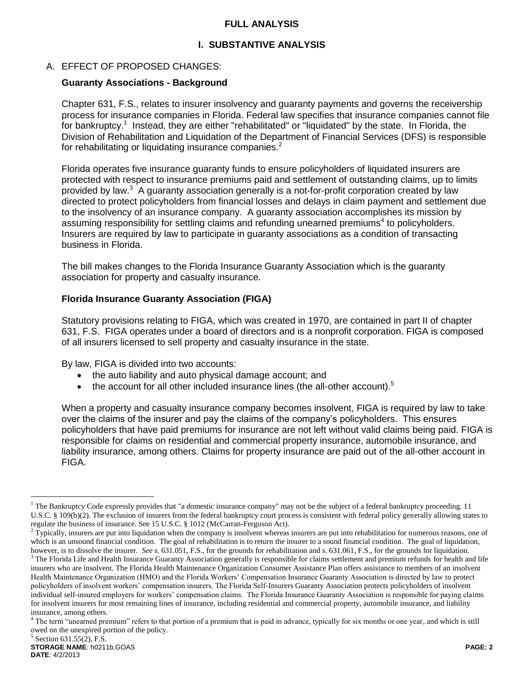### **FULL ANALYSIS**

## **I. SUBSTANTIVE ANALYSIS**

## A. EFFECT OF PROPOSED CHANGES:

### **Guaranty Associations - Background**

Chapter 631, F.S., relates to insurer insolvency and guaranty payments and governs the receivership process for insurance companies in Florida. Federal law specifies that insurance companies cannot file for bankruptcy.<sup>1</sup> Instead, they are either "rehabilitated" or "liquidated" by the state. In Florida, the Division of Rehabilitation and Liquidation of the Department of Financial Services (DFS) is responsible for rehabilitating or liquidating insurance companies. $2$ 

Florida operates five insurance guaranty funds to ensure policyholders of liquidated insurers are protected with respect to insurance premiums paid and settlement of outstanding claims, up to limits provided by law.<sup>3</sup> A guaranty association generally is a not-for-profit corporation created by law directed to protect policyholders from financial losses and delays in claim payment and settlement due to the insolvency of an insurance company. A guaranty association accomplishes its mission by assuming responsibility for settling claims and refunding unearned premiums<sup>4</sup> to policyholders. Insurers are required by law to participate in guaranty associations as a condition of transacting business in Florida.

The bill makes changes to the Florida Insurance Guaranty Association which is the guaranty association for property and casualty insurance.

## **Florida Insurance Guaranty Association (FIGA)**

Statutory provisions relating to FIGA, which was created in 1970, are contained in part II of chapter 631, F.S. FIGA operates under a board of directors and is a nonprofit corporation. FIGA is composed of all insurers licensed to sell property and casualty insurance in the state.

By law, FIGA is divided into two accounts:

- the auto liability and auto physical damage account; and
- $\bullet$  the account for all other included insurance lines (the all-other account).<sup>5</sup>

When a property and casualty insurance company becomes insolvent, FIGA is required by law to take over the claims of the insurer and pay the claims of the company's policyholders. This ensures policyholders that have paid premiums for insurance are not left without valid claims being paid. FIGA is responsible for claims on residential and commercial property insurance, automobile insurance, and liability insurance, among others. Claims for property insurance are paid out of the all-other account in FIGA.

 $\overline{a}$ 

 $<sup>1</sup>$  The Bankruptcy Code expressly provides that "a domestic insurance company" may not be the subject of a federal bankruptcy proceeding. 11</sup> U.S.C. § 109(b)(2). The exclusion of insurers from the federal bankruptcy court process is consistent with federal policy generally allowing states to regulate the business of insurance. See 15 U.S.C. § 1012 (McCarran-Ferguson Act).

 $2$  Typically, insurers are put into liquidation when the company is insolvent whereas insurers are put into rehabilitation for numerous reasons, one of which is an unsound financial condition. The goal of rehabilitation is to return the insurer to a sound financial condition. The goal of liquidation, however, is to dissolve the insurer. *See* s. 631.051, F.S., for the grounds for rehabilitation and s. 631.061, F.S., for the grounds for liquidation.  $3$  The Florida Life and Health Insurance Guaranty Association generally is responsible for claims settlement and premium refunds for health and life

insurers who are insolvent. The Florida Health Maintenance Organization Consumer Assistance Plan offers assistance to members of an insolvent Health Maintenance Organization (HMO) and the Florida Workers' Compensation Insurance Guaranty Association is directed by law to protect policyholders of insolvent workers' compensation insurers. The Florida Self-Insurers Guaranty Association protects policyholders of insolvent individual self-insured employers for workers' compensation claims. The Florida Insurance Guaranty Association is responsible for paying claims for insolvent insurers for most remaining lines of insurance, including residential and commercial property, automobile insurance, and liability insurance, among others.

<sup>&</sup>lt;sup>4</sup> The term "unearned premium" refers to that portion of a premium that is paid in advance, typically for six months or one year, and which is still owed on the unexpired portion of the policy.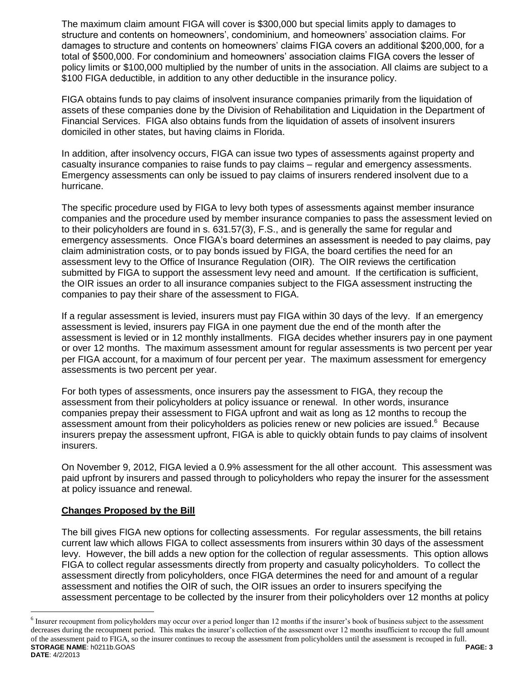The maximum claim amount FIGA will cover is \$300,000 but special limits apply to damages to structure and contents on homeowners', condominium, and homeowners' association claims. For damages to structure and contents on homeowners' claims FIGA covers an additional \$200,000, for a total of \$500,000. For condominium and homeowners' association claims FIGA covers the lesser of policy limits or \$100,000 multiplied by the number of units in the association. All claims are subject to a \$100 FIGA deductible, in addition to any other deductible in the insurance policy.

FIGA obtains funds to pay claims of insolvent insurance companies primarily from the liquidation of assets of these companies done by the Division of Rehabilitation and Liquidation in the Department of Financial Services. FIGA also obtains funds from the liquidation of assets of insolvent insurers domiciled in other states, but having claims in Florida.

In addition, after insolvency occurs, FIGA can issue two types of assessments against property and casualty insurance companies to raise funds to pay claims – regular and emergency assessments. Emergency assessments can only be issued to pay claims of insurers rendered insolvent due to a hurricane.

The specific procedure used by FIGA to levy both types of assessments against member insurance companies and the procedure used by member insurance companies to pass the assessment levied on to their policyholders are found in s. 631.57(3), F.S., and is generally the same for regular and emergency assessments. Once FIGA's board determines an assessment is needed to pay claims, pay claim administration costs, or to pay bonds issued by FIGA, the board certifies the need for an assessment levy to the Office of Insurance Regulation (OIR). The OIR reviews the certification submitted by FIGA to support the assessment levy need and amount. If the certification is sufficient, the OIR issues an order to all insurance companies subject to the FIGA assessment instructing the companies to pay their share of the assessment to FIGA.

If a regular assessment is levied, insurers must pay FIGA within 30 days of the levy. If an emergency assessment is levied, insurers pay FIGA in one payment due the end of the month after the assessment is levied or in 12 monthly installments. FIGA decides whether insurers pay in one payment or over 12 months. The maximum assessment amount for regular assessments is two percent per year per FIGA account, for a maximum of four percent per year. The maximum assessment for emergency assessments is two percent per year.

For both types of assessments, once insurers pay the assessment to FIGA, they recoup the assessment from their policyholders at policy issuance or renewal. In other words, insurance companies prepay their assessment to FIGA upfront and wait as long as 12 months to recoup the assessment amount from their policyholders as policies renew or new policies are issued.<sup>6</sup> Because insurers prepay the assessment upfront, FIGA is able to quickly obtain funds to pay claims of insolvent insurers.

On November 9, 2012, FIGA levied a 0.9% assessment for the all other account. This assessment was paid upfront by insurers and passed through to policyholders who repay the insurer for the assessment at policy issuance and renewal.

# **Changes Proposed by the Bill**

 $\overline{a}$ 

The bill gives FIGA new options for collecting assessments. For regular assessments, the bill retains current law which allows FIGA to collect assessments from insurers within 30 days of the assessment levy. However, the bill adds a new option for the collection of regular assessments. This option allows FIGA to collect regular assessments directly from property and casualty policyholders. To collect the assessment directly from policyholders, once FIGA determines the need for and amount of a regular assessment and notifies the OIR of such, the OIR issues an order to insurers specifying the assessment percentage to be collected by the insurer from their policyholders over 12 months at policy

**STORAGE NAME**: h0211b.GOAS **PAGE: 3 DATE**: 4/2/2013  $6$  Insurer recoupment from policyholders may occur over a period longer than 12 months if the insurer's book of business subject to the assessment decreases during the recoupment period. This makes the insurer's collection of the assessment over 12 months insufficient to recoup the full amount of the assessment paid to FIGA, so the insurer continues to recoup the assessment from policyholders until the assessment is recouped in full.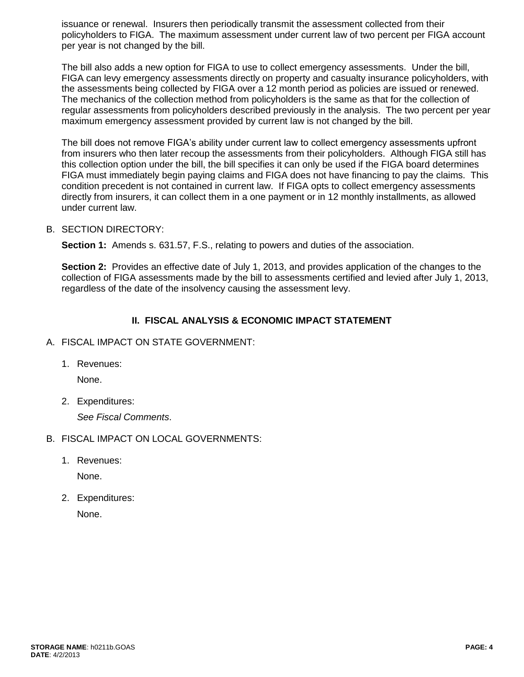issuance or renewal. Insurers then periodically transmit the assessment collected from their policyholders to FIGA. The maximum assessment under current law of two percent per FIGA account per year is not changed by the bill.

The bill also adds a new option for FIGA to use to collect emergency assessments. Under the bill, FIGA can levy emergency assessments directly on property and casualty insurance policyholders, with the assessments being collected by FIGA over a 12 month period as policies are issued or renewed. The mechanics of the collection method from policyholders is the same as that for the collection of regular assessments from policyholders described previously in the analysis. The two percent per year maximum emergency assessment provided by current law is not changed by the bill.

The bill does not remove FIGA's ability under current law to collect emergency assessments upfront from insurers who then later recoup the assessments from their policyholders. Although FIGA still has this collection option under the bill, the bill specifies it can only be used if the FIGA board determines FIGA must immediately begin paying claims and FIGA does not have financing to pay the claims. This condition precedent is not contained in current law. If FIGA opts to collect emergency assessments directly from insurers, it can collect them in a one payment or in 12 monthly installments, as allowed under current law.

## B. SECTION DIRECTORY:

**Section 1:** Amends s. 631.57, F.S., relating to powers and duties of the association.

**Section 2:** Provides an effective date of July 1, 2013, and provides application of the changes to the collection of FIGA assessments made by the bill to assessments certified and levied after July 1, 2013, regardless of the date of the insolvency causing the assessment levy.

## **II. FISCAL ANALYSIS & ECONOMIC IMPACT STATEMENT**

#### A. FISCAL IMPACT ON STATE GOVERNMENT:

1. Revenues:

None.

2. Expenditures:

*See Fiscal Comments*.

- B. FISCAL IMPACT ON LOCAL GOVERNMENTS:
	- 1. Revenues:

None.

2. Expenditures:

None.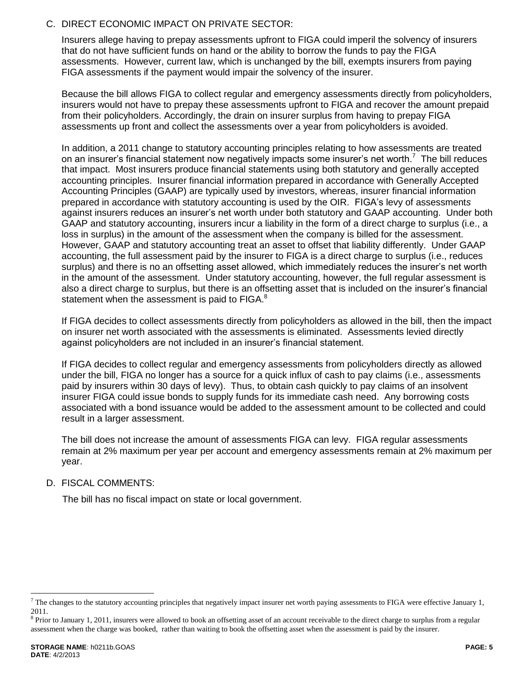## C. DIRECT ECONOMIC IMPACT ON PRIVATE SECTOR:

Insurers allege having to prepay assessments upfront to FIGA could imperil the solvency of insurers that do not have sufficient funds on hand or the ability to borrow the funds to pay the FIGA assessments. However, current law, which is unchanged by the bill, exempts insurers from paying FIGA assessments if the payment would impair the solvency of the insurer.

Because the bill allows FIGA to collect regular and emergency assessments directly from policyholders, insurers would not have to prepay these assessments upfront to FIGA and recover the amount prepaid from their policyholders. Accordingly, the drain on insurer surplus from having to prepay FIGA assessments up front and collect the assessments over a year from policyholders is avoided.

In addition, a 2011 change to statutory accounting principles relating to how assessments are treated on an insurer's financial statement now negatively impacts some insurer's net worth.<sup>7</sup> The bill reduces that impact. Most insurers produce financial statements using both statutory and generally accepted accounting principles. Insurer financial information prepared in accordance with Generally Accepted Accounting Principles (GAAP) are typically used by investors, whereas, insurer financial information prepared in accordance with statutory accounting is used by the OIR. FIGA's levy of assessment*s*  against insurers reduces an insurer's net worth under both statutory and GAAP accounting.Under both GAAP and statutory accounting, insurers incur a liability in the form of a direct charge to surplus (i.e., a loss in surplus) in the amount of the assessment when the company is billed for the assessment. However, GAAP and statutory accounting treat an asset to offset that liability differently. Under GAAP accounting, the full assessment paid by the insurer to FIGA is a direct charge to surplus (i.e., reduces surplus) and there is no an offsetting asset allowed, which immediately reduces the insurer's net worth in the amount of the assessment. Under statutory accounting, however, the full regular assessment is also a direct charge to surplus, but there is an offsetting asset that is included on the insurer's financial statement when the assessment is paid to FIGA.<sup>8</sup>

If FIGA decides to collect assessments directly from policyholders as allowed in the bill, then the impact on insurer net worth associated with the assessments is eliminated. Assessments levied directly against policyholders are not included in an insurer's financial statement.

If FIGA decides to collect regular and emergency assessments from policyholders directly as allowed under the bill, FIGA no longer has a source for a quick influx of cash to pay claims (i.e., assessments paid by insurers within 30 days of levy). Thus, to obtain cash quickly to pay claims of an insolvent insurer FIGA could issue bonds to supply funds for its immediate cash need. Any borrowing costs associated with a bond issuance would be added to the assessment amount to be collected and could result in a larger assessment.

The bill does not increase the amount of assessments FIGA can levy. FIGA regular assessments remain at 2% maximum per year per account and emergency assessments remain at 2% maximum per year.

# D. FISCAL COMMENTS:

The bill has no fiscal impact on state or local government.

 $\overline{a}$ 

 $^7$  The changes to the statutory accounting principles that negatively impact insurer net worth paying assessments to FIGA were effective January 1, 2011.

 $8$  Prior to January 1, 2011, insurers were allowed to book an offsetting asset of an account receivable to the direct charge to surplus from a regular assessment when the charge was booked, rather than waiting to book the offsetting asset when the assessment is paid by the insurer.